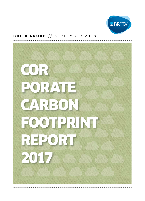

### BRITA GROUP // SEPTEMBER 2018

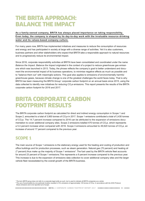## THE BRITA APPROACH: BALANCE THE IMPACT

### **As a family-owned company, BRITA has always placed importance on taking responsibility. Even today, the company is shaped by its day-to-day work with the invaluable resource drinking water and its values-based company culture.**

For many years now, BRITA has implemented initiatives and measures to reduce the consumption of resources and energy and has participated in society at large with a diverse range of activities. Yet it is also customers, business partners and other stakeholders who expect that BRITA take a responsible approach to natural resources and to progressively reduce its environmental impact.

Since 2016, corporate responsibility activities at BRITA have been consolidated and coordinated under the name *Balance the Impact*. *Balance the Impact* originated in the context of a project to reduce greenhouse gas emissions which was launched in 2013. Today, the phrase reflects the company's goal to better understand and document the environmental impact of its business operations, to minimise negative effects as much as possible and to "balance them out" with meaningful actions. This goal also applies to emissions of environmentally harmful greenhouse gases, because climate change is one of the greatest challenges the world faces today. That is why BRITA has been measuring the BRITA Group<sup>1</sup> corporate carbon footprint on an annual basis since 2015, using the data collected to identify new initiatives for reducing CO<sub>2</sub>e emissions. This report presents the results of the BRITA corporate carbon footprint for 2016 and 2017.

# BRITA CORPORATE CARBON FOOTPRINT RESULTS

The BRITA corporate carbon footprint as calculated for direct and indirect energy consumption in Scope 1 and Scope 2, amounted to a total of 3,900 tonnes of  $CO<sub>2</sub>e$  in 2017. Scope 1 emissions contributed a total of 3,430 tonnes of CO<sub>2</sub>e. The 14.7 percent increase compared to 2016 can be attributed to the expansion of emissions documentation to cover additional company sites. Scope 2 emissions totalled 470 tonnes of CO<sub>2</sub>e, which represents a 5.4 percent increase when compared with 2016. Scope 3 emissions amounted to 49,620 tonnes of  $CO<sub>2</sub>e$ , an increase of around 17 percent compared to the previous year.

## SCOPE 1

The main source of Scope 1 emissions is the stationary energy used for the heating and cooling of production and office buildings and for production processes, such as steam generation. Natural gas (70 percent) and heating oil (7 percent) thus make up the majority of Scope 1 emissions<sup>2</sup>. The fuel used by the BRITA vehicle fleet accounts for around 23 percent of Scope 1 emissions.This represents a 9 percent increase compared to the previous year. This increase is due to the expansion of emissions data collection to cover additional company sites and the larger vehicle fleet necessitated by the overall growth of the BRITA business.

<sup>2</sup> The use of wood pellets by one particular location resulted in CO<sub>2</sub> emissions of approximately 120 tonnes of CO<sub>2</sub>e. In accordance with the GHG Protocol, *these emissions are to be reported out of scope.*

<sup>1</sup>*The term BRITA group does not refer to a corporate legal entity as such, but is used to indicate all BRITA companies as a whole.*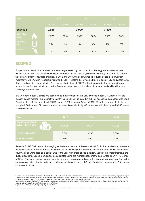| Year                         |                       | 2015                |              | 2016                |       | 2017  |              |
|------------------------------|-----------------------|---------------------|--------------|---------------------|-------|-------|--------------|
|                              |                       | t CO <sub>2</sub> e | <b>Share</b> | t CO <sub>2</sub> e | Share | tCO,e | <b>Share</b> |
| <b>SCOPE 1</b>               |                       | 2,920               |              | 2,990               |       | 3,430 |              |
| <b>NATURAL</b><br><b>GAS</b> | M                     | 2,570               | 88%          | 2,390               | 80%   | 2,390 | 70%          |
| <b>HEATING</b><br>OIL        |                       | 130                 | 4%           | 180                 | 6%    | 240   | 7%           |
| <b>FUELS</b>                 | $\boldsymbol{\theta}$ | 220                 | 8%           | 420                 | 14%   | 800   | 23%          |

## SCOPE 2

Scope 2 comprises indirect emissions which are generated by the production of energy such as electricity or district heating. BRITA's global electricity consumption in 2017 was 10,660 MWh, whereby more than 90 percent was obtained from renewable energies. In 2016 and 2017, the BRITA GmbH production sites in Taunusstein (Germany), BRITA AG in Neudorf (Switzerland), BRITA Water Filter Systems Ltd. in Bicester (UK) and Asset S.r.L. (Italy) used certified eco-electricity. As a matter of principle, all BRITA subsidiaries are instructed to review and pursue the switch to electricity generated from renewable sources. Local conditions and availability still pose a challenge at some sites.

BRITA reports Scope 2 emissions according to the provisions of the GHG Protocol Scope 2 Guidance. For the location-based method<sup>3</sup> the respective country electricity mix as stated in publicly accessible databases was used. Based on this calculation method, BRITA caused 3,800 tonnes of CO<sub>2</sub>e in 2017. When the country electricity mix is applied, 380 tonnes of this was attributed to conventional electricity, 60 tonnes to district heating and 3,360 tonnes to eco-electricity.

| <b>Year</b>                                                 | 2015      | 2016      | 2017      |
|-------------------------------------------------------------|-----------|-----------|-----------|
| <b>EMISSIONS FROM</b><br><b>ELECTRICITY USE</b><br>璺<br>۱š, | t $CO2$ e | t $CO2$ e | t $CO2$ e |
| <b>LOCATION-BASED</b>                                       | 3,740     | 3,530     | 3,800     |
| <b>MARKET-BASED</b>                                         | 470       | 450       | 470       |

Relevant for BRITA in terms of managing emissions is the market-based method<sup>4</sup> for indirect emissions, where the available residual mixes of the Association of Issuing Bodies (AIB)<sup>5</sup> were applied. Where unavailable, the relevant country mixes were used as a basis<sup>6</sup>. Due to the very high share of eco-electricity used at the energyintensive production locations, Scope 2 emissions as calculated using the market-based method amounted to only 470 tonnes of CO<sub>2</sub>e. They were mainly accrued by office and warehousing operations at the international locations. Due to the expansion of data collection to include additional locations, the level of Scope 2 emissions increased by 5.4 percent compared to 2016.

<sup>6</sup>*Applies to Australia, China, Hong Kong, Japan and Russia.*

<sup>&</sup>lt;sup>3</sup> Location-based method: the calculation defined by the GHG Protocol of Scope 2 emissions on the basis of average emission factors for a certain geographical region. <sup>4</sup> Market-based method: the calculation defined by the GHG Protocol of Scope 2 emissions on the basis of actual emissions from generating the electricity purchased *(based on data from electricity producers or residual mixes determined) and/or the district heating purchased.*

<sup>&</sup>lt;sup>5</sup> Association of Issuing Bodies (AIB): Association of European electricity certification bodies; residual mixes were calculated by Grexel Systems on behalf of the AIB; *source: https://www.aib-net.org/facts/european\_residual\_mix*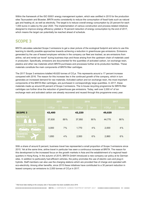Within the framework of the ISO 50001 energy management system, which was certified in 2015 for the production sites Taunusstein and Bicester, BRITA works consistently to reduce the consumption of fossil fuels such as natural gas and heating oil, as well as electricity. The target is to reduce overall energy consumption by 20 percent for each 1,000 euros in sales by the year 2020. The implementation of various construction and process-related initiatives designed to improve energy efficiency yielded a 19 percent reduction of energy consumption by the end of 2017, which means the target can potentially be reached ahead of schedule.

## SCOPE 3

BRITA calculates selected Scope 3 emissions to get a clear picture of the ecological footprint and aims to use this learning to identify possible approaches towards achieving a reduction in greenhouse gas emissions. Emissions generated by the use of leased employee vehicles in the company car fleet are tracked, as are emissions from airline, rail and rental car travel<sup>7</sup> during business trips and those arising from the upstream chain of materials used in production. Specifically, emissions are documented for the quantities of activated carbon, ion exchange resin, plastics and other raw materials which BRITA purchases and processes further at its production facilities. These materials constitute the main components of BRITA filter cartridges.

The 2017 Scope 3 emissions totalled 49,620 tonnes of CO<sub>2</sub>e. This represents around a 17 percent increase compared with 2016. The reason for this increase lies in the continued growth of the company, which in turn generates an increased demand for raw materials. Activated carbon and ion exchange resin, the most important components of the BRITA filter cartridges, are purchased in correspondingly large quantities. In 2017, these materials made up around 85 percent of Scope 3 emissions. The in-house recycling programme for BRITA filter cartridges can further drive the reduction of greenhouse gas emissions. Today, well over  $2,000$  m<sup>3</sup> of ion exchange resin and activated carbon are already recovered and reused through this programme every year.

| Year                                                                        | 2015     |              | 2016                |              | 2017   |              |
|-----------------------------------------------------------------------------|----------|--------------|---------------------|--------------|--------|--------------|
|                                                                             | $tCO2$ e | <b>Share</b> | t CO <sub>2</sub> e | <b>Share</b> | tCO,e  | <b>Share</b> |
| <b>SCOPE 3</b>                                                              | 42,480   |              | 42,220              |              | 49,620 |              |
| <b>MATERIALS</b>                                                            | 37,630   | 89%          | 37,950              | 90%          | 44,770 | 90%          |
| <b>LEASED COMPANY CARS</b><br>$\odot$<br>$\cdot$ $\odot$<br>-0-<br>$\Omega$ | 3,000    | 7%           | 1,770               | 4%           | 2,000  | 4%           |
| <b>BUSINESS</b><br><b>TRAVEL</b>                                            | 1,850    | 4%           | 2,500               | 6%           | 2,860  | 6%           |

With a share of around 6 percent, business travel has represented a small proportion of Scope 3 emissions since 2015. Yet at the same time, airline travel in particular has seen a continuous increase at BRITA. The reason for this development is the increased focus on the growth markets in Asia and the establishment of a regional headquarters in Hong Kong. In the autumn of 2015, BRITA GmbH introduced a new company car policy at its German sites. In addition to particularly fuel-efficient vehicles, the policy promotes the use of electric cars and plug-in hybrids. Staff members can also use the charging stations which are provided free of charge and operated with eco-electricity. Among other benefits, since 2015 these initiatives have contributed to a 30 percent reduction in leased company car emissions to 2,000 tonnes of  $CO<sub>2</sub>e$  in 2017.

<sup>7</sup> Rail travel data relating to the company site in Taunusstein has been available since 2016.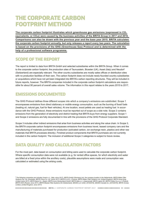# THE CORPORATE CARBON FOOTPRINT METHOD

**The corporate carbon footprint illustrates which greenhouse gas emissions (expressed in CO2 equivalents, or CO2e) were caused by the business activities of the BRITA Group in 2017 and 2016. Comparisons can also be drawn with the previous year and the base year 2015. BRITA calculates the corporate carbon footprint annually, but only releases a report every two years. The calculation is based on the provisions of the GHG (Greenhouse Gas) Protocol and is determined with the help of a professional software programme.**

## SCOPE OF THE REPORT

The report is limited to data from BRITA GmbH and selected subsidiaries within the BRITA Group. When it comes to the corporate carbon footprint, the production sites of Taunusstein, Bicester (UK), Asset (Italy) and Neudorf (Switzerland) are especially relevant. The other country subsidiaries are mostly sales offices or distribution sites with no production facilities of their own. The carbon footprint does not include newly-founded country subsidiaries or acquisitions which have not yet been integrated into BRITA's carbon reporting structures. They will be included in future reports, however. The BRITA companies included in the corporate carbon footprint calculations are responsible for about 90 percent of overall sales volume. The information in this report relates to the years 2015 to 2017.

## EMISSIONS DOCUMENTED

The GHG Protocol defines three different scopes into which a company's emissions are subdivided. Scope 1 encompasses emissions from direct stationary or mobile energy consumption, such as the burning of fossil fuels (heating oil, natural gas, fuel for fleet vehicles). At one location, wood pellets are used as heating fuel. In accordance with the GHG Protocol, these emissions must be reported out of scope as a side note. Scope 2 contains emissions from the generation of electricity and district heating that BRITA buys from energy suppliers. Scope 1 and Scope 2 emissions are fully documented in line with the provisions of the GHG Protocol Corporate Standard.

Scope 3 includes other indirect emissions that arise from business activities and along the value chain. In Scope 3, the BRITA corporate carbon footprint encompasses emissions from business travel, leased company cars and the manufacturing of materials purchased for production (activated carbon, ion exchange resin, plastics and other raw materials that BRITA processes directly). Finished product components that BRITA purchases are not currently included in the carbon footprint. The inclusion of additional Scope 3 categories is subject to future review.

## DATA QUALITY AND CALCULATION FACTORS

For the most part, data based on consumption and billing were used to calculate the corporate carbon footprint. Where specific consumption data were not available (e.g. for rented office spaces, for which electricity and water are billed at a fixed price within the ancillary costs), plausible assumptions were made and consumption was calculated or estimated using the arising costs.

<sup>8</sup>*The following companies are included: Asset s.r.L. (Italy, since 2017), BRITA GmbH (Germany) incl. the company location in the Netherlands, BRITA Water Filter Systems Pty. Ltd. (Australia), BRITA China Co. Ltd. (since 2017), BRITA S.A.R.L. (France), BRITA Water Filter Systems Ltd. (United Kingdom), BRITA Hong Kong Limited (since 2017), BRITA Iberia S.L. (Spain), BRITA Ionox Deutschland GmbH, BRITA Italia s.r.l. Unipersonale, BRITA Japan KK, BRITA Polska S.p.z.o.o. (Poland), BRITA OOO (Russia, since 2017), BRITA Wasser-Filter-Systeme AG (Switzerland), MAVEA LLC (USA, 2015/2016), MAVEA Canada Inc. (2015/2016), BRITA Vivreau Limited, (United Kingdom, since 2017)*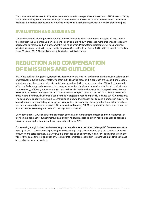The conversion factors used for  $CO<sub>2</sub>$  equivalents are sourced from reputable databases (incl. GHG Protocol, Defra). When documenting Scope 3 emissions for purchased materials, BRITA was able to use conversion factors established in the certified product carbon footprints of individual BRITA products which were calculated in the past.

## EVALUATION AND ASSURANCE

The evaluation and tracking of climate-harmful emissions takes place at the BRITA Group level. BRITA uses the data from the Corporate Carbon Footprint Report to make its own processes more efficient and to identify approaches to improve carbon management in the value chain. PricewaterhouseCoopers AG has performed a limited assurance audit with regard to this Corporate Carbon Footprint Report 2017, which covers the reporting years 2016 and 2017. The auditor's report is attached to this document.

# REDUCTION AND COMPENSATION OF EMISSIONS AND OUTLOOK

BRITA has set itself the goal of systematically documenting the levels of environmentally harmful emissions and of progressively reducing them or "balancing them out". The initial focus of this approach are Scope 1 and Scope 2 emissions, since these can most easily be influenced and controlled by the organisation. Within the framework of the certified energy and environmental management systems in place at several production sites, initiatives to improve energy efficiency and reduce emissions are identified and then implemented. Non-production sites are also instructed to continuously review and reduce their consumption of resources. BRITA continues to evaluate areas where meaningful investments can be made in projects to reduce or partially "balance out" CO<sub>2</sub> emissions. The company is currently planning the construction of a new administration building and a production building. As a result, investments in existing buildings, for example to improve energy efficiency in the Taunusstein headquarters, are not currently seen as a priority. At the same time however, BRITA recognises that there is still unrealised potential to optimise both production and management processes.

Going forward BRITA will continue the expansion of the carbon management process and the development of a systematic approach to further improve data quality. As of 2018, data collection will be expanded to additional locations, including the production facility opened in China in 2017.

For a growing and globally expanding company, these goals pose a particular challenge. BRITA seeks to achieve these goals, while simultaneously pursuing ambitious strategic objectives and managing the continued growth of production and sales activities. BRITA views this challenge as an opportunity to gain key insights into its own activities. At the same time it is an opportunity to show that corporate responsibility is engrained in BRITA's selfimage and part of the company culture.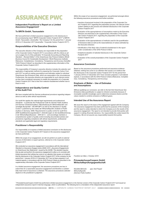# ASSURANCE PWC

### **Independent Practitioner's Report on a Limited**  Assurance Engagement<sup>1</sup>

### **To BRITA GmbH, Taunusstein**

*We have performed a limited assurance engagement on the disclosures in the accompanying report "BRITA Corporate Carbon Footprint 2017" of BRITA GmbH, Taunusstein, (hereinafter: "the Company") for the period from 1 January 2016 to 31 December 2017 (hereinafter: "Corporate Carbon Footprint 2017").* 

### **Responsibilities of the Executive Directors**

*The executive directors of the Company are responsible for the preparation of the Corporate Carbon Footprint 2017 in accordance with the criteria as set out on pages 8 to 9 of the publication "A Corporate Accounting and Reporting Standard – Revised Edition" of the Greenhouse Gas Protocol Initiative (World Business Council for Sustainable Development / World Resources Institute): Relevance, Completeness, Consistency, Transparency and Accuracy (hereafter "GHG Protocol Criteria") as described in the supplementary information of the Corporate Carbon Footprint 2017.*

*This responsibility of Company's executive directors includes the selection and application of appropriate methods for preparing the Corporate Carbon Footprint 2017 as well as making assumptions and estimates related to individual Greenhouse Gas Emissions Data, which are reasonable in the circumstances. Furthermore, the executive directors are responsible for such internal control, as they have considered necessary to enable the preparation of a Corporate Carbon Footprint 2017 that is free from material misstatement whether due to fraud or error.*

#### **Independence and Quality Control of the Audit Firm**

*We have complied with the German professional provisions regarding independence as well as other ethical requirements.* 

*Our audit firm applies the national legal requirements and professional standards – in particular the Professional Code for German Public Auditors and German Chartered Auditors ("Berufssatzung für Wirtschaftsprüfer und vereidigte Buchprüfer": "BS WP/vBP") as well as the Standard on Quality Control 1 published by the Institut der Wirtschaftsprüfer (Institute of Public*  Auditors in Germany; IDW): Requirements to quality control for audit firms *(IDW Qualitätssicherungsstandard 1: Anforderungen an die Qualitätssicherung in der Wirtschaftsprüferpraxis – IDW QS 1) – and accordingly maintains a comprehensive system of quality control including documented policies and procedures regarding compliance with ethical requirements, professional standards and applicable legal and regulatory requirements.*

### **Practitioner´s Responsibility**

*Our responsibility is to express a limited assurance conclusion on the disclosures in the Corporate Carbon Footprint 2017 based on the assurance engagement we have performed.* 

*Within the scope of our engagement, we did not perform an audit on external sources of information or expert opinions, referred to in the Corporate Carbon Footprint 2017.*

*We conducted our assurance engagement in accordance with the International Standard on Assurance Engage-ments (ISAE) 3410: "Assurance Engagements on Greenhouse Gas Statements", issued by the IAASB. This standard requires that we plan and perform the assurance engagement to allow us to conclude with limited assurance that nothing has come to our attention that causes us to believe that the disclosures in the Corporate Carbon Footprint 2017 of the company for the period from 1 January 2016 to 31 December 2017 has not been prepared, in all material aspects, in accordance with the GHG Protocol Criteria as described in the supplementary information of the Corporate Carbon Footprint 2017.*

*In a limited assurance engagement, the assurance procedures are less in extent than for a reasonable assurance engagement and therefore a substantially lower level of assurance is obtained. The assurance procedures selected depend on the practitioner's judgment.*

*Within the scope of our assurance engagement, we performed amongst others the following assurance procedures and further activities:*

- *Inquiries of personnel involved in the preparation of the Corporate Carbon Footprint 2017 regarding the preparation process, the internal control system relating to this process and selected disclosures in the Corporate Carbon Footprint 2017*
- *Evaluation of the appropriateness of assumptions made by the Executive Directors and disclosed in the supplementary information of the Corporate Carbon Footprint 2017, regarding the preparation of the Corporate Carbon Footprint 2017*
- $\cdot$  Evaluation of the appropriateness of methods used for the quantification *of Emissions Data as well as the reasonableness of values estimated by the Executive Directors*
- Identification of the likely risks of material misstatement in the report *under consideration of the GHG Protocol Criteria*
- *Analytical evaluation of selected disclosures in the Corporate Carbon Footprint 2017*
- *Evaluation of the overall presentation of the Corporate Carbon Footprint 2017*

### **Assurance Conclusion**

*Based on the assurance procedures performed and assurance evidence obtained, nothing has come to our attention that causes us to believe that the disclosures in the Corporate Carbon Footprint 2017 for the period from 1 January 2016 to 31 December 2017 have not been prepared, in all material aspects, in accordance with the GHG Protocol Criteria (Relevance, Completeness, Consistency, Transparency and Accuracy).*

### **Emphasis of Matter – Use of Estimates and Assumptions**

*Without qualifying our conclusion, we refer to the fact that Greenhouse Gas Emissions Data quantification is subject to inherent uncertainty because of incomplete scientific knowledge used to determine emissions factors and the values needed to combine emissions of different gases.*

### **Intended Use of the Assurance Report**

*We issue this report on the basis of the engagement agreed with the Company. The assurance engagement has been performed for purposes of the Company and the report is solely intended to inform the Company as to the results of the assurance engagement. The report is not intended to provide third parties with*  support in making (financial) decisions. Our responsibility lies solely toward the *Company. We do not assume any responsibility towards third parties.*

*Frankfurt am Main, 2 October 2018*

### **PricewaterhouseCoopers GmbH Wirtschaftsprüfungsgesellschaft**

*Nicolette Behncke ppa. Axel Faupel Wirtschaftsprüfer (German Public Auditor)*

<sup>1</sup> PricewaterhouseCoopers GmbH has performed a limited assurance engagement on the German version of the Corporate Carbon Footprint 2017 and issued an *independent assurance report in German language, which is authoritative. The following text is a translation of the independent assurance report.*